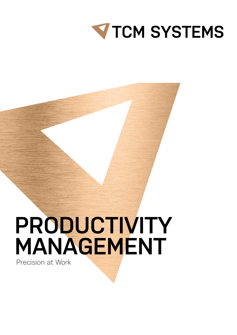

## **PRODUCTIVITY MANAGEMENT**

Precision at Work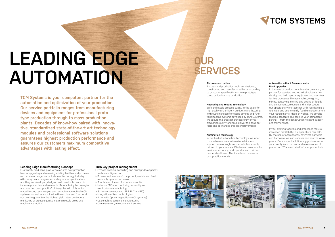**V TCM SYSTEMS** 

# **LEADING EDGE AUTOMATION**

#### **Leading Edge Manufacturing Concept**

Sustainably productive production requires new production lines or upgrading and renewing existing facilities and processes that are no longer current state of technology. Industry 4.0 concepts are designed according to your specifications and they are developed, designed and then implemented in in-house production and assembly. Manufacturing technologies are based on "best practice" philosophies with fully automated testing technologies such as automatic optical (AOI) systems, as well as combined with electrical and functional controls to guarantee the highest yield rates, continuous monitoring of process quality, maximum cycle times and machine availability.

#### **Turn-key project management**

- > Process analysis, consulting and concept development, system configuration
- > Process automation of component, module and final
- assembly production areas > Special machine and fixture construction
- > In-house CNC manufacturing, assembly and
- electronics manufacturing > Software development (SPS, PLC and PC)
- > Integration of test technologies
- > Automatic Optical Inspections (AOI systems)
- > CE-compliant design & manufacturing
- > Commissioning, maintenance & service



**TCM Systems is your competent partner for the automation and optimization of your production. Our service portfolio ranges from manufacturing devices and equipment for professional prototype production through to mass production plants. Decades of know-how paired with innovative, standardized state-of-the-art art technology modules and professional software solutions guarantees highest production performance and assures our customers maximum competitive advantages with lasting effect.**

#### **Fixture construction**

Fixtures and production tools are designed, constructed and manufactured by us according to customer specifications – from prototype construction to mass production.

#### **Measuring and testing technology**

Safe and stable process quality is the basis for high quality and efficient product manufacturing. With customer-specific testing devices and functional testing systems developed by TCM Systems, we assure the greatest transparency of your production quality and thus deliver the basis for rapid and permanent process improvements.

#### **Automation technology**

In the field of automation technology, we offer our customers comprehensive advice and support from a single source, which is exactly tailored to your wishes. We develop solutions for maximum economy, and operator and maintenance friendliness. This includes cross-sector best-practice models.

#### **Automation – Plant Development – Plant upgrades**

In the area of production automation, we are your partner for standard and individual solutions. We develop and build special equipment and machines for key processes like assembling, weighing, mixing, conveying, moving and dosing of liquids and components, modules and end products. Our specialists work together with you develop a technical and economically feasible solution. From your requirements, ideas or wishes, we develop feasible concepts. Our team is your competent partner – from the construction to plant support and maintenance.

If your existing facilities and processes require increased profitability, our specialists can help. By the use of appropriately optimized software and hardware, we can uncover and analyze weak points. Our compact solution suggestions serve your quality improvement and maximization of production. TCM – on behalf of your productivity!



### **OUR SERVICES**